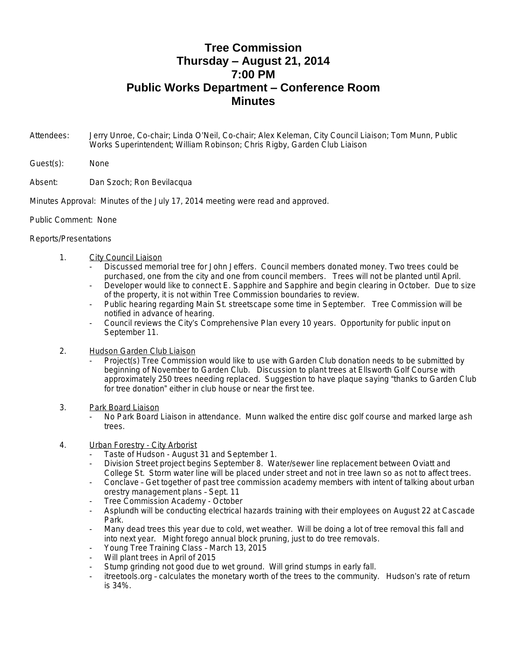## **Tree Commission Thursday – August 21, 2014 7:00 PM Public Works Department – Conference Room Minutes**

- Attendees: Jerry Unroe, Co-chair; Linda O'Neil, Co-chair; Alex Keleman, City Council Liaison; Tom Munn, Public Works Superintendent; William Robinson; Chris Rigby, Garden Club Liaison
- Guest(s): None
- Absent: Dan Szoch; Ron Bevilacqua
- Minutes Approval: Minutes of the July 17, 2014 meeting were read and approved.
- Public Comment: None

## Reports/Presentations

- 1. City Council Liaison
	- Discussed memorial tree for John Jeffers. Council members donated money. Two trees could be purchased, one from the city and one from council members. Trees will not be planted until April.
	- Developer would like to connect E. Sapphire and Sapphire and begin clearing in October. Due to size of the property, it is not within Tree Commission boundaries to review.
	- Public hearing regarding Main St. streetscape some time in September. Tree Commission will be notified in advance of hearing.
	- Council reviews the City's Comprehensive Plan every 10 years. Opportunity for public input on September 11.
- 2. Hudson Garden Club Liaison
	- Project(s) Tree Commission would like to use with Garden Club donation needs to be submitted by beginning of November to Garden Club. Discussion to plant trees at Ellsworth Golf Course with approximately 250 trees needing replaced. Suggestion to have plaque saying "thanks to Garden Club for tree donation" either in club house or near the first tee.
- 3. Park Board Liaison
	- No Park Board Liaison in attendance. Munn walked the entire disc golf course and marked large ash trees.
- 4. Urban Forestry City Arborist
	- Taste of Hudson August 31 and September 1.
	- Division Street project begins September 8. Water/sewer line replacement between Oviatt and College St. Storm water line will be placed under street and not in tree lawn so as not to affect trees.
	- Conclave Get together of past tree commission academy members with intent of talking about urban orestry management plans – Sept. 11
	- Tree Commission Academy October
	- Asplundh will be conducting electrical hazards training with their employees on August 22 at Cascade Park.
	- Many dead trees this year due to cold, wet weather. Will be doing a lot of tree removal this fall and into next year. Might forego annual block pruning, just to do tree removals.
	- Young Tree Training Class March 13, 2015
	- Will plant trees in April of 2015
	- Stump grinding not good due to wet ground. Will grind stumps in early fall.
	- itreetools.org calculates the monetary worth of the trees to the community. Hudson's rate of return is 34%.